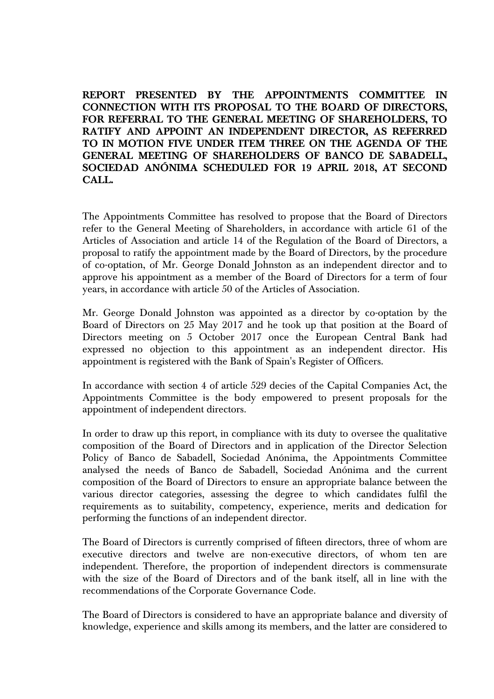**REPORT PRESENTED BY THE APPOINTMENTS COMMITTEE IN CONNECTION WITH ITS PROPOSAL TO THE BOARD OF DIRECTORS, FOR REFERRAL TO THE GENERAL MEETING OF SHAREHOLDERS, TO RATIFY AND APPOINT AN INDEPENDENT DIRECTOR, AS REFERRED TO IN MOTION FIVE UNDER ITEM THREE ON THE AGENDA OF THE GENERAL MEETING OF SHAREHOLDERS OF BANCO DE SABADELL, SOCIEDAD ANÓNIMA SCHEDULED FOR 19 APRIL 2018, AT SECOND CALL.** 

The Appointments Committee has resolved to propose that the Board of Directors refer to the General Meeting of Shareholders, in accordance with article 61 of the Articles of Association and article 14 of the Regulation of the Board of Directors, a proposal to ratify the appointment made by the Board of Directors, by the procedure of co-optation, of Mr. George Donald Johnston as an independent director and to approve his appointment as a member of the Board of Directors for a term of four years, in accordance with article 50 of the Articles of Association.

Mr. George Donald Johnston was appointed as a director by co-optation by the Board of Directors on 25 May 2017 and he took up that position at the Board of Directors meeting on 5 October 2017 once the European Central Bank had expressed no objection to this appointment as an independent director. His appointment is registered with the Bank of Spain's Register of Officers.

In accordance with section 4 of article 529 decies of the Capital Companies Act, the Appointments Committee is the body empowered to present proposals for the appointment of independent directors.

In order to draw up this report, in compliance with its duty to oversee the qualitative composition of the Board of Directors and in application of the Director Selection Policy of Banco de Sabadell, Sociedad Anónima, the Appointments Committee analysed the needs of Banco de Sabadell, Sociedad Anónima and the current composition of the Board of Directors to ensure an appropriate balance between the various director categories, assessing the degree to which candidates fulfil the requirements as to suitability, competency, experience, merits and dedication for performing the functions of an independent director.

The Board of Directors is currently comprised of fifteen directors, three of whom are executive directors and twelve are non-executive directors, of whom ten are independent. Therefore, the proportion of independent directors is commensurate with the size of the Board of Directors and of the bank itself, all in line with the recommendations of the Corporate Governance Code.

The Board of Directors is considered to have an appropriate balance and diversity of knowledge, experience and skills among its members, and the latter are considered to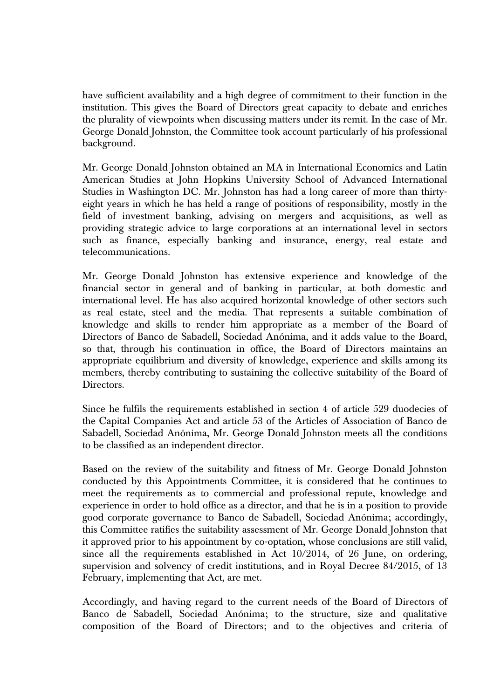have sufficient availability and a high degree of commitment to their function in the institution. This gives the Board of Directors great capacity to debate and enriches the plurality of viewpoints when discussing matters under its remit. In the case of Mr. George Donald Johnston, the Committee took account particularly of his professional background.

Mr. George Donald Johnston obtained an MA in International Economics and Latin American Studies at John Hopkins University School of Advanced International Studies in Washington DC. Mr. Johnston has had a long career of more than thirtyeight years in which he has held a range of positions of responsibility, mostly in the field of investment banking, advising on mergers and acquisitions, as well as providing strategic advice to large corporations at an international level in sectors such as finance, especially banking and insurance, energy, real estate and telecommunications.

Mr. George Donald Johnston has extensive experience and knowledge of the financial sector in general and of banking in particular, at both domestic and international level. He has also acquired horizontal knowledge of other sectors such as real estate, steel and the media. That represents a suitable combination of knowledge and skills to render him appropriate as a member of the Board of Directors of Banco de Sabadell, Sociedad Anónima, and it adds value to the Board, so that, through his continuation in office, the Board of Directors maintains an appropriate equilibrium and diversity of knowledge, experience and skills among its members, thereby contributing to sustaining the collective suitability of the Board of Directors.

Since he fulfils the requirements established in section 4 of article 529 duodecies of the Capital Companies Act and article 53 of the Articles of Association of Banco de Sabadell, Sociedad Anónima, Mr. George Donald Johnston meets all the conditions to be classified as an independent director.

Based on the review of the suitability and fitness of Mr. George Donald Johnston conducted by this Appointments Committee, it is considered that he continues to meet the requirements as to commercial and professional repute, knowledge and experience in order to hold office as a director, and that he is in a position to provide good corporate governance to Banco de Sabadell, Sociedad Anónima; accordingly, this Committee ratifies the suitability assessment of Mr. George Donald Johnston that it approved prior to his appointment by co-optation, whose conclusions are still valid, since all the requirements established in Act 10/2014, of 26 June, on ordering, supervision and solvency of credit institutions, and in Royal Decree 84/2015, of 13 February, implementing that Act, are met.

Accordingly, and having regard to the current needs of the Board of Directors of Banco de Sabadell, Sociedad Anónima; to the structure, size and qualitative composition of the Board of Directors; and to the objectives and criteria of